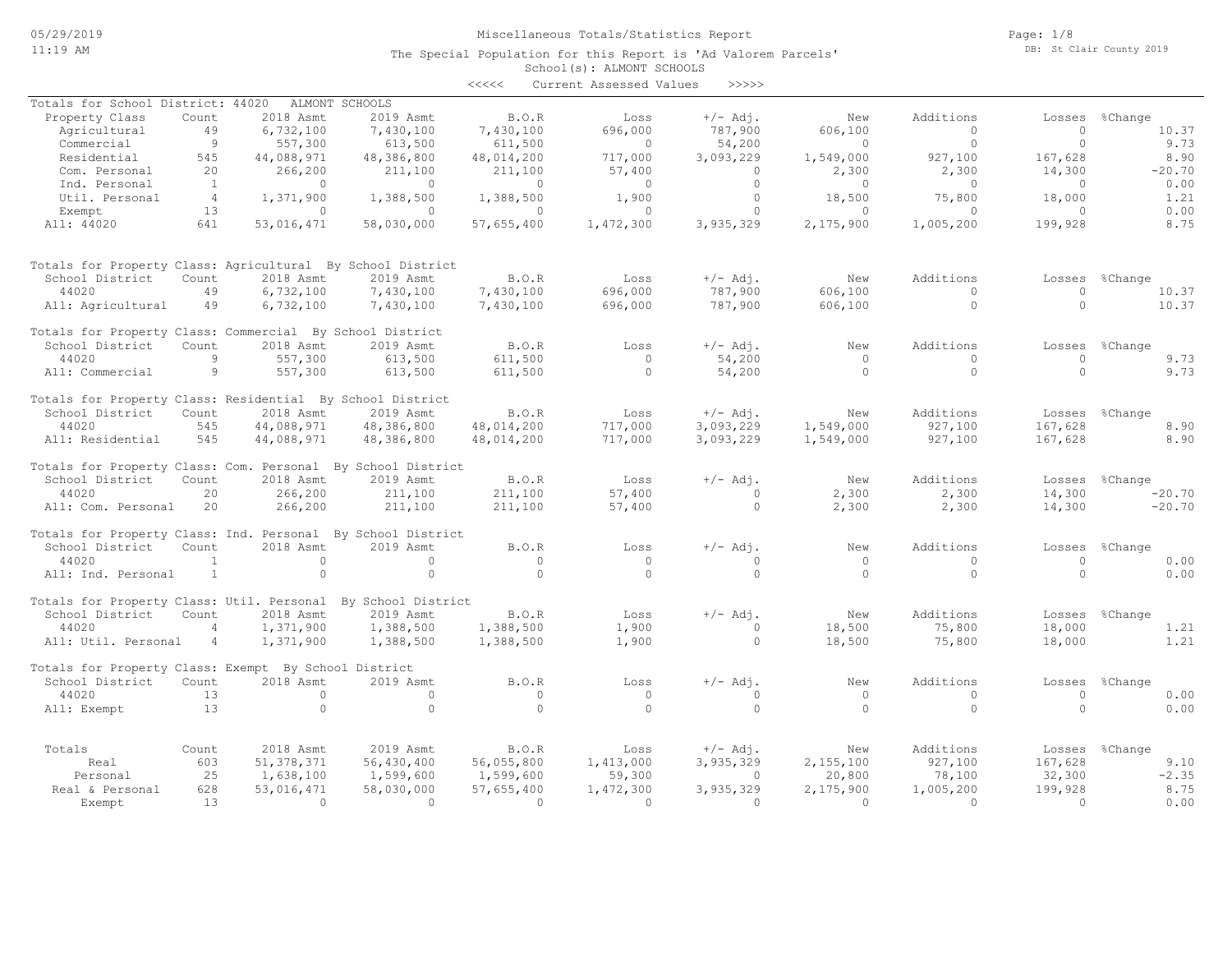Page: 1/8 DB: St Clair County 2019

#### School(s): ALMONT SCHOOLS The Special Population for this Report is 'Ad Valorem Parcels'

|                                                              |                |                |            | <<<<         | Current Assessed Values | >>>>>      |           |           |                |          |
|--------------------------------------------------------------|----------------|----------------|------------|--------------|-------------------------|------------|-----------|-----------|----------------|----------|
| Totals for School District: 44020                            |                | ALMONT SCHOOLS |            |              |                         |            |           |           |                |          |
| Property Class                                               | Count          | 2018 Asmt      | 2019 Asmt  | B.O.R        | Loss                    | $+/-$ Adj. | New       | Additions | Losses         | %Change  |
| Agricultural                                                 | 49             | 6,732,100      | 7,430,100  | 7,430,100    | 696,000                 | 787,900    | 606,100   | $\Omega$  | $\circ$        | 10.37    |
| Commercial                                                   | 9              | 557,300        | 613,500    | 611,500      | $\circ$                 | 54,200     | $\circ$   | $\Omega$  | $\circ$        | 9.73     |
| Residential                                                  | 545            | 44,088,971     | 48,386,800 | 48,014,200   | 717,000                 | 3,093,229  | 1,549,000 | 927,100   | 167,628        | 8.90     |
| Com. Personal                                                | 20             | 266,200        | 211,100    | 211,100      | 57,400                  | $\circ$    | 2,300     | 2,300     | 14,300         | $-20.70$ |
| Ind. Personal                                                | <sup>1</sup>   | $\Omega$       | $\Omega$   | $\Omega$     | $\Omega$                | $\circ$    | $\Omega$  | $\Omega$  | $\overline{0}$ | 0.00     |
| Util. Personal                                               | $\overline{4}$ | 1,371,900      | 1,388,500  | 1,388,500    | 1,900                   | $\Omega$   | 18,500    | 75,800    | 18,000         | 1.21     |
| Exempt                                                       | 13             | $\Omega$       | $\Omega$   | $\Omega$     | $\Omega$                | $\Omega$   | $\Omega$  | $\Omega$  | $\Omega$       | 0.00     |
| All: 44020                                                   | 641            | 53,016,471     | 58,030,000 | 57,655,400   | 1,472,300               | 3,935,329  | 2,175,900 | 1,005,200 | 199,928        | 8.75     |
|                                                              |                |                |            |              |                         |            |           |           |                |          |
| Totals for Property Class: Agricultural By School District   |                |                |            |              |                         |            |           |           |                |          |
| School District                                              | Count          | 2018 Asmt      | 2019 Asmt  | B.O.R        | Loss                    | $+/-$ Adj. | New       | Additions | Losses         | %Change  |
| 44020                                                        | 49             | 6,732,100      | 7,430,100  | 7,430,100    | 696,000                 | 787,900    | 606,100   | $\Omega$  | $\circ$        | 10.37    |
| All: Agricultural                                            | 49             | 6,732,100      | 7,430,100  | 7,430,100    | 696,000                 | 787,900    | 606,100   | $\Omega$  | $\Omega$       | 10.37    |
|                                                              |                |                |            |              |                         |            |           |           |                |          |
| Totals for Property Class: Commercial By School District     |                |                |            |              |                         |            |           |           |                |          |
| School District                                              | Count          | 2018 Asmt      | 2019 Asmt  | B.O.R        | Loss                    | $+/-$ Adj. | New       | Additions | Losses         | %Change  |
| 44020                                                        | 9              | 557,300        | 613,500    | 611,500      | $\circ$                 | 54,200     | $\circ$   | $\Omega$  | $\circ$        | 9.73     |
| All: Commercial                                              | 9              | 557,300        | 613,500    | 611,500      | $\circ$                 | 54,200     | $\circ$   | $\circ$   | $\Omega$       | 9.73     |
| Totals for Property Class: Residential By School District    |                |                |            |              |                         |            |           |           |                |          |
| School District                                              | Count          | 2018 Asmt      | 2019 Asmt  | B.O.R        | Loss                    | $+/-$ Adj. | New       | Additions | Losses         | %Change  |
| 44020                                                        | 545            | 44,088,971     | 48,386,800 | 48,014,200   | 717,000                 | 3,093,229  | 1,549,000 | 927,100   | 167,628        | 8.90     |
| All: Residential                                             | 545            | 44,088,971     | 48,386,800 | 48,014,200   | 717,000                 | 3,093,229  | 1,549,000 | 927,100   | 167,628        | 8.90     |
| Totals for Property Class: Com. Personal By School District  |                |                |            |              |                         |            |           |           |                |          |
| School District                                              | Count          | 2018 Asmt      | 2019 Asmt  | B.O.R        | Loss                    | $+/-$ Adj. | New       | Additions | Losses         | %Change  |
| 44020                                                        | 20             | 266,200        | 211,100    | 211,100      | 57,400                  | $\Omega$   | 2,300     | 2,300     | 14,300         | $-20.70$ |
| All: Com. Personal                                           | 20             |                | 211,100    | 211,100      | 57,400                  | $\circ$    |           | 2,300     | 14,300         | $-20.70$ |
|                                                              |                | 266,200        |            |              |                         |            | 2,300     |           |                |          |
| Totals for Property Class: Ind. Personal By School District  |                |                |            |              |                         |            |           |           |                |          |
| School District                                              | Count          | 2018 Asmt      | 2019 Asmt  | <b>B.O.R</b> | Loss                    | $+/-$ Adj. | New       | Additions | Losses         | %Change  |
| 44020                                                        | $\mathbf{1}$   | $\circ$        | $\circ$    | $\Omega$     | $\Omega$                | $\Omega$   | $\Omega$  | $\Omega$  | $\circ$        | 0.00     |
| All: Ind. Personal                                           | 1              | $\circ$        | $\circ$    | $\Omega$     | $\Omega$                | $\circ$    | $\Omega$  | $\circ$   | $\Omega$       | 0.00     |
| Totals for Property Class: Util. Personal By School District |                |                |            |              |                         |            |           |           |                |          |
| School District                                              | Count          | 2018 Asmt      | 2019 Asmt  | B.O.R        | Loss                    | $+/-$ Adj. | New       | Additions | Losses         | %Change  |
| 44020                                                        | $\overline{4}$ | 1,371,900      | 1,388,500  | 1,388,500    | 1,900                   | $\Omega$   | 18,500    | 75,800    | 18,000         | 1.21     |
| All: Util. Personal                                          | $\overline{4}$ | 1,371,900      | 1,388,500  | 1,388,500    | 1,900                   | $\circ$    | 18,500    | 75,800    | 18,000         | 1.21     |
| Totals for Property Class: Exempt By School District         |                |                |            |              |                         |            |           |           |                |          |
| School District                                              | Count          | 2018 Asmt      | 2019 Asmt  | B.O.R        | Loss                    | $+/-$ Adj. | New       | Additions | Losses         | %Change  |
| 44020                                                        | 13             | $\circ$        | $\circ$    | $\circ$      | $\circ$                 | $\Omega$   | $\Omega$  | $\Omega$  | $\circ$        | 0.00     |
| All: Exempt                                                  | 1.3            | $\Omega$       | $\Omega$   | $\Omega$     | $\Omega$                | $\Omega$   | $\Omega$  | $\Omega$  | $\Omega$       | 0.00     |
|                                                              |                |                |            |              |                         |            |           |           |                |          |
| Totals                                                       | Count          | 2018 Asmt      | 2019 Asmt  | B.O.R        | Loss                    | $+/-$ Adj. | New       | Additions | Losses         | %Change  |
| Real                                                         | 603            | 51, 378, 371   | 56,430,400 | 56,055,800   | 1,413,000               | 3,935,329  | 2,155,100 | 927,100   | 167,628        | 9.10     |
| Personal                                                     | 25             | 1,638,100      | 1,599,600  | 1,599,600    | 59,300                  | $\Omega$   | 20,800    | 78,100    | 32,300         | $-2.35$  |
| Real & Personal                                              | 628            | 53,016,471     | 58,030,000 | 57,655,400   | 1,472,300               | 3,935,329  | 2,175,900 | 1,005,200 | 199,928        | 8.75     |
| Exempt                                                       | 13             | $\Omega$       | $\Omega$   | $\Omega$     | $\Omega$                | $\Omega$   | $\Omega$  | $\Omega$  | $\Omega$       | 0.00     |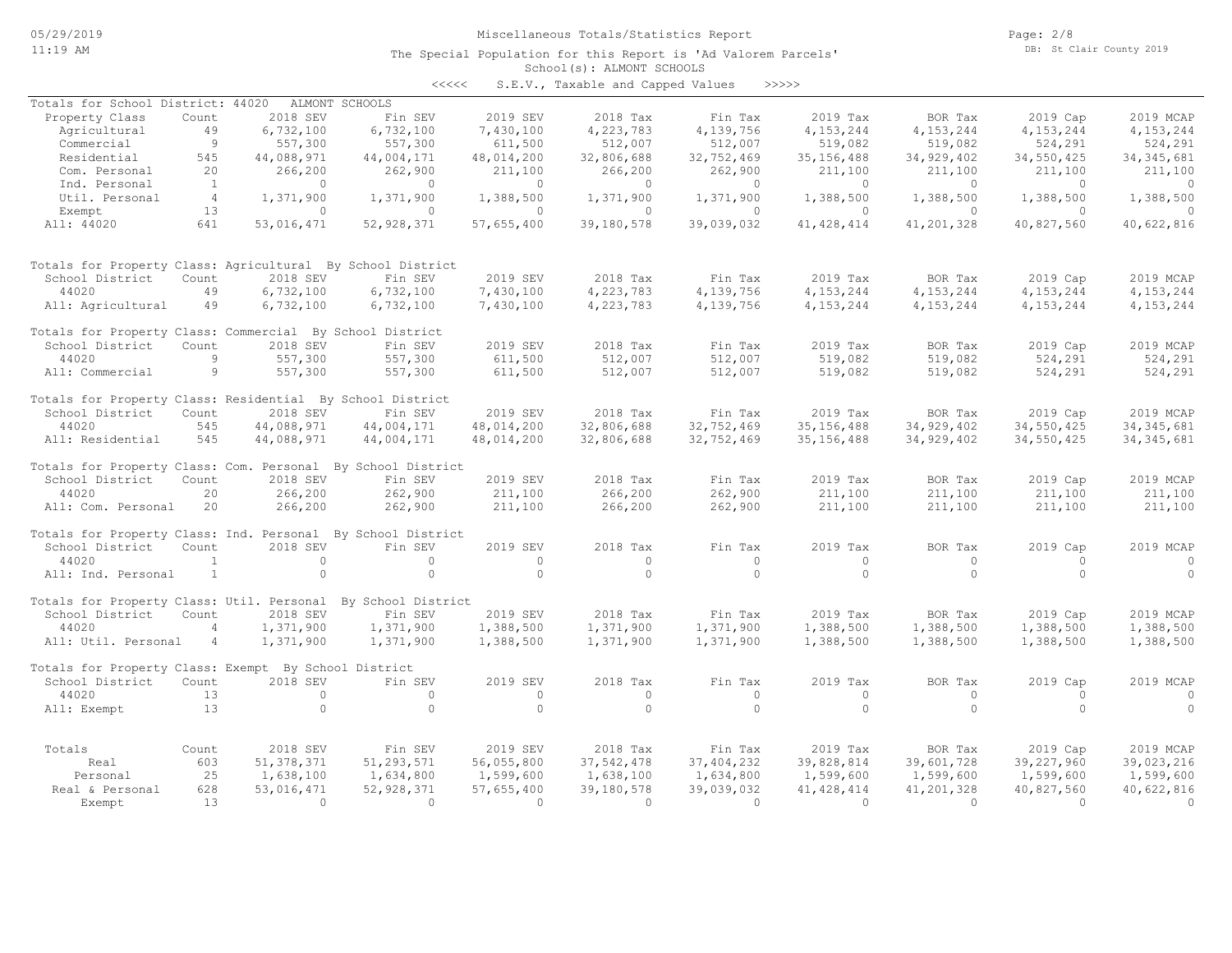Page: 2/8 DB: St Clair County 2019

#### School(s): ALMONT SCHOOLS The Special Population for this Report is 'Ad Valorem Parcels'

| くくくくく | S.E.V., Taxable and Capped Values |  |  |  | >>>>> |
|-------|-----------------------------------|--|--|--|-------|
|-------|-----------------------------------|--|--|--|-------|

| Totals for School District: 44020                            |                |              | ALMONT SCHOOLS |            |            |              |              |             |             |              |
|--------------------------------------------------------------|----------------|--------------|----------------|------------|------------|--------------|--------------|-------------|-------------|--------------|
| Property Class                                               | Count          | 2018 SEV     | Fin SEV        | 2019 SEV   | 2018 Tax   | Fin Tax      | 2019 Tax     | BOR Tax     | 2019 Cap    | 2019 MCAP    |
| Agricultural                                                 | 49             | 6,732,100    | 6,732,100      | 7,430,100  | 4,223,783  | 4,139,756    | 4, 153, 244  | 4, 153, 244 | 4, 153, 244 | 4, 153, 244  |
| Commercial                                                   | 9              | 557,300      | 557,300        | 611,500    | 512,007    | 512,007      | 519,082      | 519,082     | 524,291     | 524,291      |
| Residential                                                  | 545            | 44,088,971   | 44,004,171     | 48,014,200 | 32,806,688 | 32,752,469   | 35, 156, 488 | 34,929,402  | 34,550,425  | 34, 345, 681 |
| Com. Personal                                                | 20             | 266,200      | 262,900        | 211,100    | 266,200    | 262,900      | 211,100      | 211,100     | 211,100     | 211,100      |
| Ind. Personal                                                | <sup>1</sup>   | $\Omega$     | $\Omega$       | $\Omega$   | $\Omega$   | $\circ$      | $\Omega$     | $\Omega$    | $\Omega$    | $\Omega$     |
| Util. Personal                                               | $\overline{4}$ | 1,371,900    | 1,371,900      | 1,388,500  | 1,371,900  | 1,371,900    | 1,388,500    | 1,388,500   | 1,388,500   | 1,388,500    |
| Exempt                                                       | 13             | $\circ$      | $\Omega$       | $\circ$    | $\Omega$   | $\circ$      | $\circ$      | $\circ$     | $\Omega$    | $\Omega$     |
| All: 44020                                                   | 641            | 53,016,471   | 52, 928, 371   | 57,655,400 | 39,180,578 | 39,039,032   | 41, 428, 414 | 41,201,328  | 40,827,560  | 40,622,816   |
|                                                              |                |              |                |            |            |              |              |             |             |              |
| Totals for Property Class: Agricultural By School District   |                |              |                |            |            |              |              |             |             |              |
| School District                                              | Count          | 2018 SEV     | Fin SEV        | 2019 SEV   | 2018 Tax   | Fin Tax      | 2019 Tax     | BOR Tax     | 2019 Cap    | 2019 MCAP    |
| 44020                                                        | 49             | 6,732,100    | 6,732,100      | 7,430,100  | 4,223,783  | 4,139,756    | 4, 153, 244  | 4, 153, 244 | 4,153,244   | 4, 153, 244  |
| All: Agricultural                                            | 49             | 6,732,100    | 6,732,100      | 7,430,100  | 4,223,783  | 4,139,756    | 4, 153, 244  | 4, 153, 244 | 4, 153, 244 | 4, 153, 244  |
| Totals for Property Class: Commercial By School District     |                |              |                |            |            |              |              |             |             |              |
| School District                                              | Count          | 2018 SEV     | Fin SEV        | 2019 SEV   | 2018 Tax   | Fin Tax      | 2019 Tax     | BOR Tax     | 2019 Cap    | 2019 MCAP    |
| 44020                                                        | 9              | 557,300      | 557,300        | 611,500    | 512,007    | 512,007      | 519,082      | 519,082     | 524,291     | 524,291      |
| All: Commercial                                              | 9              | 557,300      | 557,300        | 611,500    | 512,007    | 512,007      | 519,082      | 519,082     | 524,291     | 524,291      |
| Totals for Property Class: Residential By School District    |                |              |                |            |            |              |              |             |             |              |
| School District                                              | Count          | 2018 SEV     | Fin SEV        | 2019 SEV   | 2018 Tax   | Fin Tax      | 2019 Tax     | BOR Tax     | 2019 Cap    | 2019 MCAP    |
| 44020                                                        | 545            | 44,088,971   | 44,004,171     | 48,014,200 | 32,806,688 | 32,752,469   | 35, 156, 488 | 34,929,402  | 34,550,425  | 34, 345, 681 |
| All: Residential                                             | 545            | 44,088,971   | 44,004,171     | 48,014,200 | 32,806,688 | 32,752,469   | 35, 156, 488 | 34,929,402  | 34,550,425  | 34, 345, 681 |
| Totals for Property Class: Com. Personal By School District  |                |              |                |            |            |              |              |             |             |              |
| School District                                              | Count          | 2018 SEV     | Fin SEV        | 2019 SEV   | 2018 Tax   | Fin Tax      | 2019 Tax     | BOR Tax     | 2019 Cap    | 2019 MCAP    |
| 44020                                                        | 20             | 266,200      | 262,900        | 211,100    | 266,200    | 262,900      | 211,100      | 211,100     | 211,100     | 211,100      |
| All: Com. Personal                                           | 20             | 266,200      | 262,900        | 211,100    | 266,200    | 262,900      | 211,100      | 211,100     | 211,100     | 211,100      |
|                                                              |                |              |                |            |            |              |              |             |             |              |
| Totals for Property Class: Ind. Personal By School District  |                |              |                |            |            |              |              |             |             |              |
| School District                                              | Count          | 2018 SEV     | Fin SEV        | 2019 SEV   | 2018 Tax   | Fin Tax      | 2019 Tax     | BOR Tax     | 2019 Cap    | 2019 MCAP    |
| 44020                                                        | $\mathbf{1}$   | $\circ$      | $\circ$        | $\circ$    | $\circ$    | $\circ$      | $\circ$      | $\Omega$    | $\Omega$    | $\circ$      |
| All: Ind. Personal                                           | $\mathbf{1}$   | $\circ$      | $\circ$        | $\circ$    | $\Omega$   | $\circ$      | $\Omega$     | $\Omega$    | $\Omega$    | $\circ$      |
| Totals for Property Class: Util. Personal By School District |                |              |                |            |            |              |              |             |             |              |
| School District                                              | Count          | 2018 SEV     | Fin SEV        | 2019 SEV   | 2018 Tax   | Fin Tax      | 2019 Tax     | BOR Tax     | 2019 Cap    | 2019 MCAP    |
| 44020                                                        | $\overline{4}$ | 1,371,900    | 1,371,900      | 1,388,500  | 1,371,900  | 1,371,900    | 1,388,500    | 1,388,500   | 1,388,500   | 1,388,500    |
| All: Util. Personal                                          | $\overline{4}$ | 1,371,900    | 1,371,900      | 1,388,500  | 1,371,900  | 1,371,900    | 1,388,500    | 1,388,500   | 1,388,500   | 1,388,500    |
| Totals for Property Class: Exempt By School District         |                |              |                |            |            |              |              |             |             |              |
| School District                                              | Count          | 2018 SEV     | Fin SEV        | 2019 SEV   | 2018 Tax   | Fin Tax      | 2019 Tax     | BOR Tax     | 2019 Cap    | 2019 MCAP    |
| 44020                                                        | 13             | $\circ$      | $\circ$        | $\circ$    | $\circ$    | $\circ$      | $\circ$      | $\circ$     | 0           | $\circ$      |
| All: Exempt                                                  | 13             | $\circ$      | $\circ$        | $\circ$    | $\circ$    | $\circ$      | $\circ$      | $\circ$     | $\Omega$    | $\circ$      |
|                                                              |                |              |                |            |            |              |              |             |             |              |
| Totals                                                       | Count          | 2018 SEV     | Fin SEV        | 2019 SEV   | 2018 Tax   | Fin Tax      | 2019 Tax     | BOR Tax     | 2019 Cap    | 2019 MCAP    |
| Real                                                         | 603            | 51, 378, 371 | 51,293,571     | 56,055,800 | 37,542,478 | 37, 404, 232 | 39,828,814   | 39,601,728  | 39,227,960  | 39,023,216   |
| Personal                                                     | 25             | 1,638,100    | 1,634,800      | 1,599,600  | 1,638,100  | 1,634,800    | 1,599,600    | 1,599,600   | 1,599,600   | 1,599,600    |
| Real & Personal                                              | 628            | 53,016,471   | 52, 928, 371   | 57,655,400 | 39,180,578 | 39,039,032   | 41, 428, 414 | 41,201,328  | 40,827,560  | 40,622,816   |
| Exempt                                                       | 1.3            | $\Omega$     | $\Omega$       | $\Omega$   | $\Omega$   | $\Omega$     | $\Omega$     | $\Omega$    | $\Omega$    | $\Omega$     |
|                                                              |                |              |                |            |            |              |              |             |             |              |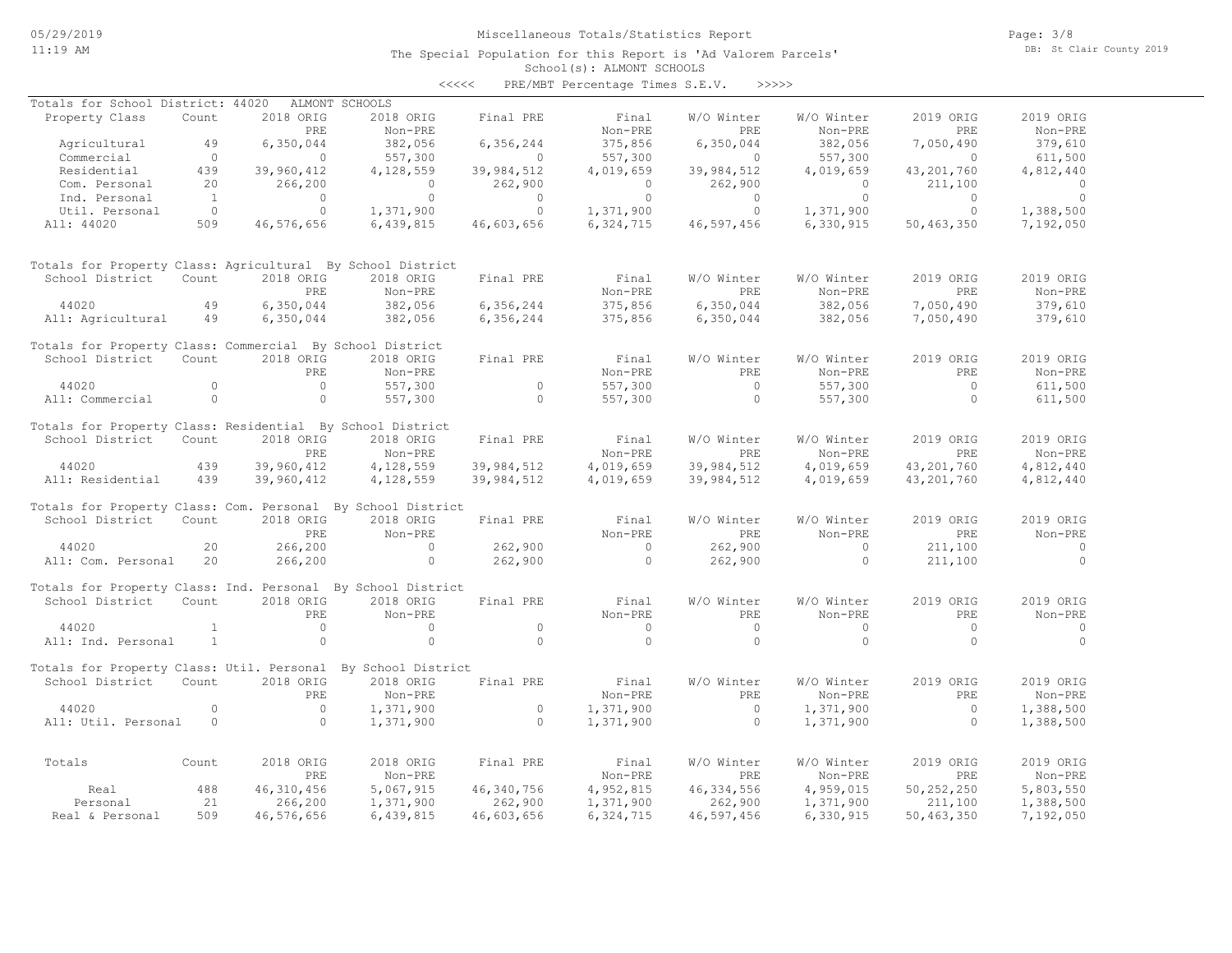The Special Population for this Report is 'Ad Valorem Parcels'

Page: 3/8 DB: St Clair County 2019

### School(s): ALMONT SCHOOLS <<<<< PRE/MBT Percentage Times S.E.V. >>>>>

| Totals for School District: 44020                            |                |                  | ALMONT SCHOOLS       |            |                    |                   |                       |                  |                      |
|--------------------------------------------------------------|----------------|------------------|----------------------|------------|--------------------|-------------------|-----------------------|------------------|----------------------|
| Property Class                                               | Count          | 2018 ORIG        | 2018 ORIG            | Final PRE  | Final              | W/O Winter        | W/O Winter            | 2019 ORIG        | 2019 ORIG            |
|                                                              |                | PRE              | Non-PRE              |            | Non-PRE            | PRE               | Non-PRE               | PRE              | Non-PRE              |
| Agricultural                                                 | 49             | 6,350,044        | 382,056              | 6,356,244  | 375,856            | 6,350,044         | 382,056               | 7,050,490        | 379,610              |
| Commercial                                                   | $\Omega$       | $\Omega$         | 557,300              | $\Omega$   | 557,300            | $\Omega$          | 557,300               | $\Omega$         | 611,500              |
| Residential                                                  | 439            | 39,960,412       | 4,128,559            | 39,984,512 | 4,019,659          | 39,984,512        | 4,019,659             | 43,201,760       | 4,812,440            |
| Com. Personal                                                | 20             | 266,200          | $\circ$              | 262,900    | $\circ$            | 262,900           | $\circ$               | 211,100          | $\Omega$             |
| Ind. Personal                                                | $\overline{1}$ | $\circ$          | $\circ$              | $\circ$    | $\circ$            | $\circ$           | $\circ$               | $\circ$          | $\circ$              |
| Util. Personal                                               | $\circ$        | $\circ$          | 1,371,900            | $\circ$    | 1,371,900          | $\circ$           | 1,371,900             | $\circ$          | 1,388,500            |
| All: 44020                                                   | 509            | 46,576,656       | 6,439,815            | 46,603,656 | 6,324,715          | 46,597,456        | 6,330,915             | 50,463,350       | 7,192,050            |
| Totals for Property Class: Agricultural By School District   |                |                  |                      |            |                    |                   |                       |                  |                      |
| School District                                              | Count          | 2018 ORIG        | 2018 ORIG            | Final PRE  | Final              | W/O Winter        | W/O Winter            | 2019 ORIG        | 2019 ORIG            |
|                                                              |                | PRE.             | Non-PRE              |            | Non-PRE            | PRE.              | Non-PRE               | PRE.             | Non-PRE              |
| 44020                                                        | 49             | 6,350,044        | 382,056              | 6,356,244  | 375,856            | 6,350,044         | 382,056               | 7,050,490        | 379,610              |
| All: Agricultural                                            | 49             | 6,350,044        | 382,056              | 6,356,244  | 375,856            | 6,350,044         | 382,056               | 7,050,490        | 379,610              |
| Totals for Property Class: Commercial By School District     |                |                  |                      |            |                    |                   |                       |                  |                      |
| School District                                              | Count          | 2018 ORIG        | 2018 ORIG            | Final PRE  | Final              | W/O Winter        | W/O Winter            | 2019 ORIG        | 2019 ORIG            |
|                                                              | $\Omega$       | PRE<br>$\circ$   | Non-PRE              | $\Omega$   | Non-PRE            | PRE<br>$\Omega$   | Non-PRE               | PRE<br>$\Omega$  | Non-PRE              |
| 44020<br>All: Commercial                                     | $\Omega$       | $\circ$          | 557,300<br>557,300   | $\Omega$   | 557,300<br>557,300 | $\Omega$          | 557,300               | $\Omega$         | 611,500              |
|                                                              |                |                  |                      |            |                    |                   | 557,300               |                  | 611,500              |
| Totals for Property Class: Residential By School District    |                |                  |                      |            |                    |                   |                       |                  |                      |
| School District                                              | Count          | 2018 ORIG        | 2018 ORIG            | Final PRE  | Final              | W/O Winter        | W/O Winter            | 2019 ORIG        | 2019 ORIG            |
|                                                              |                | PRE              | Non-PRE              |            | Non-PRE            | PRE               | Non-PRE               | PRE              | Non-PRE              |
| 44020                                                        | 439            | 39,960,412       | 4,128,559            | 39,984,512 | 4,019,659          | 39,984,512        | 4,019,659             | 43,201,760       | 4,812,440            |
| All: Residential                                             | 439            | 39,960,412       | 4,128,559            | 39,984,512 | 4,019,659          | 39,984,512        | 4,019,659             | 43,201,760       | 4,812,440            |
| Totals for Property Class: Com. Personal By School District  |                |                  |                      |            |                    |                   |                       |                  |                      |
| School District                                              | Count          | 2018 ORIG        | 2018 ORIG            | Final PRE  | Final              | W/O Winter        | W/O Winter            | 2019 ORIG        | 2019 ORIG            |
|                                                              |                | PRE              | Non-PRE              |            | Non-PRE            | PRE               | Non-PRE               | PRE              | Non-PRE              |
| 44020                                                        | 20             | 266,200          | $\circ$              | 262,900    | $\circ$            | 262,900           | $\circ$               | 211,100          | $\circ$              |
| All: Com. Personal                                           | 20             | 266,200          | $\circ$              | 262,900    | $\circ$            | 262,900           | $\circ$               | 211,100          | $\circ$              |
| Totals for Property Class: Ind. Personal By School District  |                |                  |                      |            |                    |                   |                       |                  |                      |
| School District                                              | Count          | 2018 ORIG        | 2018 ORIG            | Final PRE  | Final              | W/O Winter        | W/O Winter            | 2019 ORIG        | 2019 ORIG            |
|                                                              |                | PRE              | Non-PRE              |            | Non-PRE            | PRE               | Non-PRE               | PRE              | Non-PRE              |
| 44020                                                        | $\mathbf{1}$   | $\Omega$         | $\Omega$             | $\Omega$   | $\Omega$           | $\Omega$          | $\circ$               | $\Omega$         | $\Omega$             |
| All: Ind. Personal                                           | $\mathbf{1}$   | $\circ$          | $\Omega$             | $\Omega$   | $\Omega$           | $\circ$           | $\Omega$              | $\Omega$         | $\Omega$             |
| Totals for Property Class: Util. Personal By School District |                |                  |                      |            |                    |                   |                       |                  |                      |
| School District                                              | Count          | 2018 ORIG        | 2018 ORIG            | Final PRE  | Final              | W/O Winter        | W/O Winter            | 2019 ORIG        | 2019 ORIG            |
|                                                              |                | PRE              | Non-PRE              |            | Non-PRE            | PRE               | Non-PRE               | PRE              | Non-PRE              |
| 44020                                                        | $\Omega$       | $\circ$          | 1,371,900            | $\circ$    | 1,371,900          | $\circ$           | 1,371,900             | $\circ$          | 1,388,500            |
| All: Util. Personal                                          | $\circ$        | $\circ$          | 1,371,900            | $\circ$    | 1,371,900          | $\circ$           | 1,371,900             | $\Omega$         | 1,388,500            |
|                                                              |                |                  |                      |            |                    |                   |                       |                  |                      |
| Totals                                                       | Count          | 2018 ORIG<br>PRE | 2018 ORIG<br>Non-PRE | Final PRE  | Final<br>Non-PRE   | W/O Winter<br>PRE | W/O Winter<br>Non-PRE | 2019 ORIG<br>PRE | 2019 ORIG<br>Non-PRE |
| Real                                                         | 488            | 46, 310, 456     | 5,067,915            | 46,340,756 | 4,952,815          | 46, 334, 556      | 4,959,015             | 50,252,250       | 5,803,550            |
| Personal                                                     | 21             | 266,200          | 1,371,900            | 262,900    | 1,371,900          | 262,900           | 1,371,900             | 211,100          | 1,388,500            |
| Real & Personal                                              | 509            | 46,576,656       | 6,439,815            | 46,603,656 | 6,324,715          | 46,597,456        | 6,330,915             | 50,463,350       | 7,192,050            |
|                                                              |                |                  |                      |            |                    |                   |                       |                  |                      |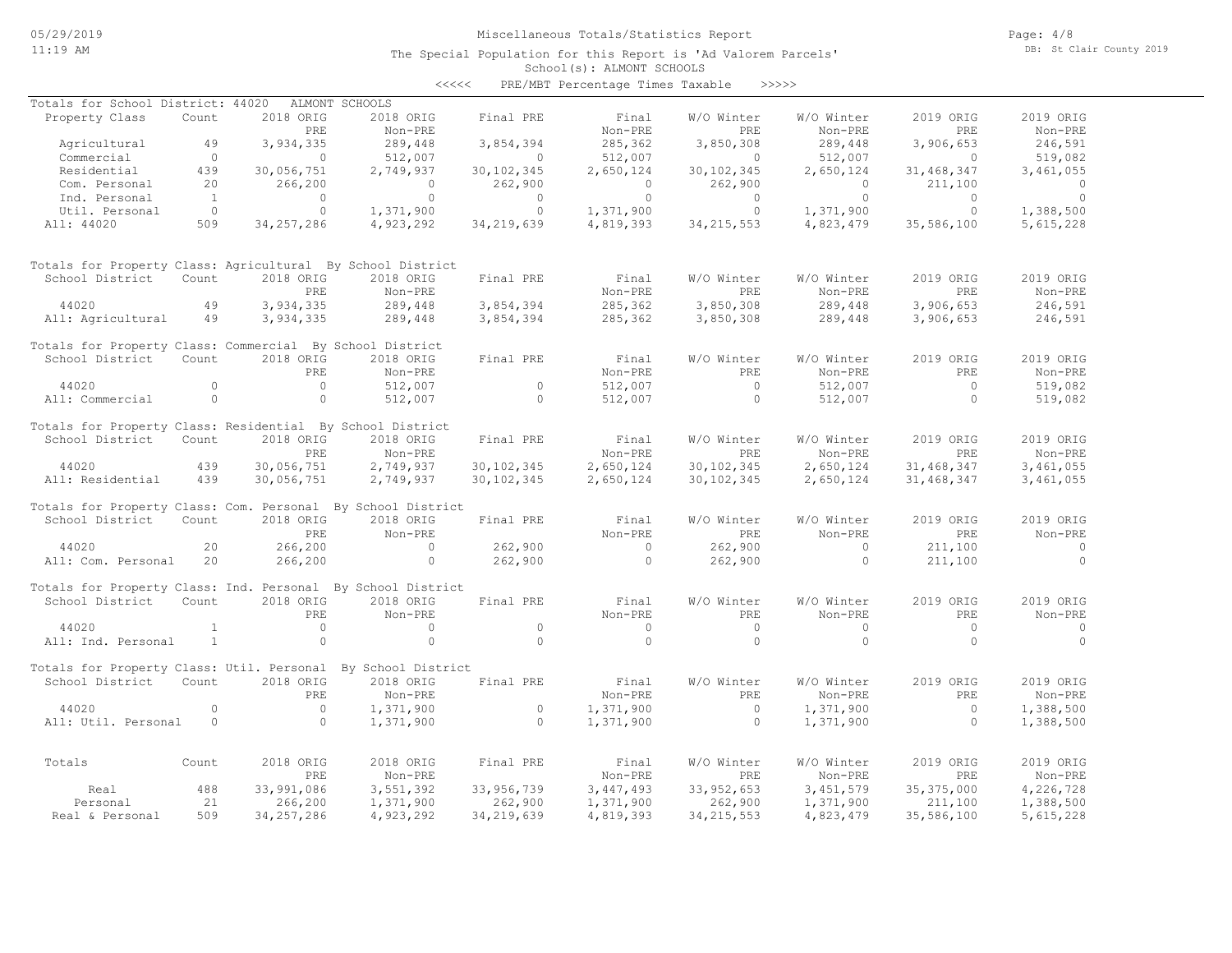The Special Population for this Report is 'Ad Valorem Parcels'

Page: 4/8 DB: St Clair County 2019

### School(s): ALMONT SCHOOLS <<<<< PRE/MBT Percentage Times Taxable >>>>>

| Totals for School District: 44020                            |                |              | ALMONT SCHOOLS |              |           |                    |             |                    |           |
|--------------------------------------------------------------|----------------|--------------|----------------|--------------|-----------|--------------------|-------------|--------------------|-----------|
|                                                              | Count          | 2018 ORIG    | 2018 ORIG      | Final PRE    | Final     | W/O Winter         | W/O Winter  | 2019 ORIG          | 2019 ORIG |
| Property Class                                               |                | PRE          | Non-PRE        |              | Non-PRE   | PRE                | Non-PRE     | PRE                | Non-PRE   |
| Agricultural                                                 | 49             | 3,934,335    | 289,448        | 3,854,394    | 285,362   | 3,850,308          | 289,448     | 3,906,653          | 246,591   |
| Commercial                                                   | $\overline{0}$ | $\Omega$     | 512,007        | $\Omega$     | 512,007   | $\Omega$           | 512,007     | $\Omega$           | 519,082   |
| Residential                                                  | 439            | 30,056,751   | 2,749,937      | 30, 102, 345 | 2,650,124 | 30, 102, 345       | 2,650,124   | 31,468,347         | 3,461,055 |
|                                                              | 20             | 266,200      | $\Omega$       | 262,900      | $\Omega$  |                    | $\circ$     |                    | $\Omega$  |
| Com. Personal<br>Ind. Personal                               | $\overline{1}$ | $\circ$      | $\circ$        | $\circ$      | $\circ$   | 262,900<br>$\circ$ | $\circ$     | 211,100<br>$\circ$ | $\circ$   |
|                                                              | $\circ$        | $\circ$      | 1,371,900      | $\circ$      | 1,371,900 | $\circ$            | 1,371,900   | $\circ$            | 1,388,500 |
| Util. Personal<br>All: 44020                                 | 509            | 34, 257, 286 | 4,923,292      | 34, 219, 639 | 4,819,393 | 34, 215, 553       | 4,823,479   | 35,586,100         | 5,615,228 |
|                                                              |                |              |                |              |           |                    |             |                    |           |
| Totals for Property Class: Agricultural By School District   |                |              |                |              |           |                    |             |                    |           |
| School District                                              | Count          | 2018 ORIG    | 2018 ORIG      | Final PRE    | Final     | W/O Winter         | W/O Winter  | 2019 ORIG          | 2019 ORIG |
|                                                              |                | PRE          | Non-PRE        |              | Non-PRE   | PRE                | Non-PRE     | <b>PRE</b>         | Non-PRE   |
| 44020                                                        | 49             | 3,934,335    | 289,448        | 3,854,394    | 285,362   | 3,850,308          | 289,448     | 3,906,653          | 246,591   |
| All: Agricultural                                            | 49             | 3,934,335    | 289,448        | 3,854,394    | 285,362   | 3,850,308          | 289,448     | 3,906,653          | 246,591   |
| Totals for Property Class: Commercial By School District     |                |              |                |              |           |                    |             |                    |           |
| School District                                              | Count          | 2018 ORIG    | 2018 ORIG      | Final PRE    | Final     | W/O Winter         | W/O Winter  | 2019 ORIG          | 2019 ORIG |
|                                                              |                | <b>PRE</b>   | Non-PRE        |              | Non-PRE   | <b>PRE</b>         | Non-PRE     | PRE                | Non-PRE   |
| 44020                                                        | $\circ$        | $\circ$      | 512,007        | $\circ$      | 512,007   | $\circ$            | 512,007     | $\Omega$           | 519,082   |
| All: Commercial                                              | $\circ$        | $\circ$      | 512,007        | $\circ$      | 512,007   | $\circ$            | 512,007     | $\Omega$           | 519,082   |
| Totals for Property Class: Residential By School District    |                |              |                |              |           |                    |             |                    |           |
| School District                                              | Count          | 2018 ORIG    | 2018 ORIG      | Final PRE    | Final     | W/O Winter         | W/O Winter  | 2019 ORIG          | 2019 ORIG |
|                                                              |                | PRE          | Non-PRE        |              | Non-PRE   | PRE                | Non-PRE     | PRE                | Non-PRE   |
| 44020                                                        | 439            | 30,056,751   | 2,749,937      | 30, 102, 345 | 2,650,124 | 30, 102, 345       | 2,650,124   | 31,468,347         | 3,461,055 |
| All: Residential                                             | 439            | 30,056,751   | 2,749,937      | 30, 102, 345 | 2,650,124 | 30, 102, 345       | 2,650,124   | 31,468,347         | 3,461,055 |
| Totals for Property Class: Com. Personal By School District  |                |              |                |              |           |                    |             |                    |           |
| School District                                              | Count          | 2018 ORIG    | 2018 ORIG      | Final PRE    | Final     | W/O Winter         | W/O Winter  | 2019 ORIG          | 2019 ORIG |
|                                                              |                | PRE          | Non-PRE        |              | Non-PRE   | PRE                | Non-PRE     | PRE                | Non-PRE   |
| 44020                                                        | 20             | 266,200      | $\Omega$       | 262,900      | $\Omega$  | 262,900            | $\Omega$    | 211,100            | $\Omega$  |
| All: Com. Personal                                           | 20             | 266,200      | $\circ$        | 262,900      | $\circ$   | 262,900            | $\circ$     | 211,100            | $\Omega$  |
| Totals for Property Class: Ind. Personal By School District  |                |              |                |              |           |                    |             |                    |           |
| School District                                              | Count          | 2018 ORIG    | 2018 ORIG      | Final PRE    | Final     | W/O Winter         | W/O Winter  | 2019 ORIG          | 2019 ORIG |
|                                                              |                | PRE          | Non-PRE        |              | Non-PRE   | PRE                | Non-PRE     | PRE                | Non-PRE   |
| 44020                                                        | $\mathbf{1}$   | $\Omega$     | $\circ$        | $\circ$      | $\circ$   | $\circ$            | $\circ$     | $\Omega$           | $\Omega$  |
| All: Ind. Personal                                           | $\mathbf{1}$   | $\circ$      | $\circ$        | $\circ$      | $\circ$   | $\circ$            | $\circ$     | $\Omega$           | $\Omega$  |
| Totals for Property Class: Util. Personal By School District |                |              |                |              |           |                    |             |                    |           |
| School District                                              | Count          | 2018 ORIG    | 2018 ORIG      | Final PRE    | Final     | W/O Winter         | W/O Winter  | 2019 ORIG          | 2019 ORIG |
|                                                              |                | PRE          | Non-PRE        |              | Non-PRE   | PRE                | Non-PRE     | PRE                | Non-PRE   |
| 44020                                                        | $\circ$        | $\circ$      | 1,371,900      | $\circ$      | 1,371,900 | $\circ$            | 1,371,900   | $\circ$            | 1,388,500 |
| All: Util. Personal                                          | $\circ$        | $\circ$      | 1,371,900      | $\circ$      | 1,371,900 | $\Omega$           | 1,371,900   | $\Omega$           | 1,388,500 |
|                                                              |                |              |                |              |           |                    |             |                    |           |
| Totals                                                       | Count          | 2018 ORIG    | 2018 ORIG      | Final PRE    | Final     | W/O Winter         | W/O Winter  | 2019 ORIG          | 2019 ORIG |
|                                                              |                | PRE          | Non-PRE        |              | Non-PRE   | PRE                | Non-PRE     | PRE                | Non-PRE   |
| Real                                                         | 488<br>21      | 33,991,086   | 3,551,392      | 33,956,739   | 3,447,493 | 33, 952, 653       | 3, 451, 579 | 35, 375, 000       | 4,226,728 |
| Personal                                                     | 509            | 266,200      | 1,371,900      | 262,900      | 1,371,900 | 262,900            | 1,371,900   | 211,100            | 1,388,500 |
| Real & Personal                                              |                | 34, 257, 286 | 4,923,292      | 34, 219, 639 | 4,819,393 | 34, 215, 553       | 4,823,479   | 35,586,100         | 5,615,228 |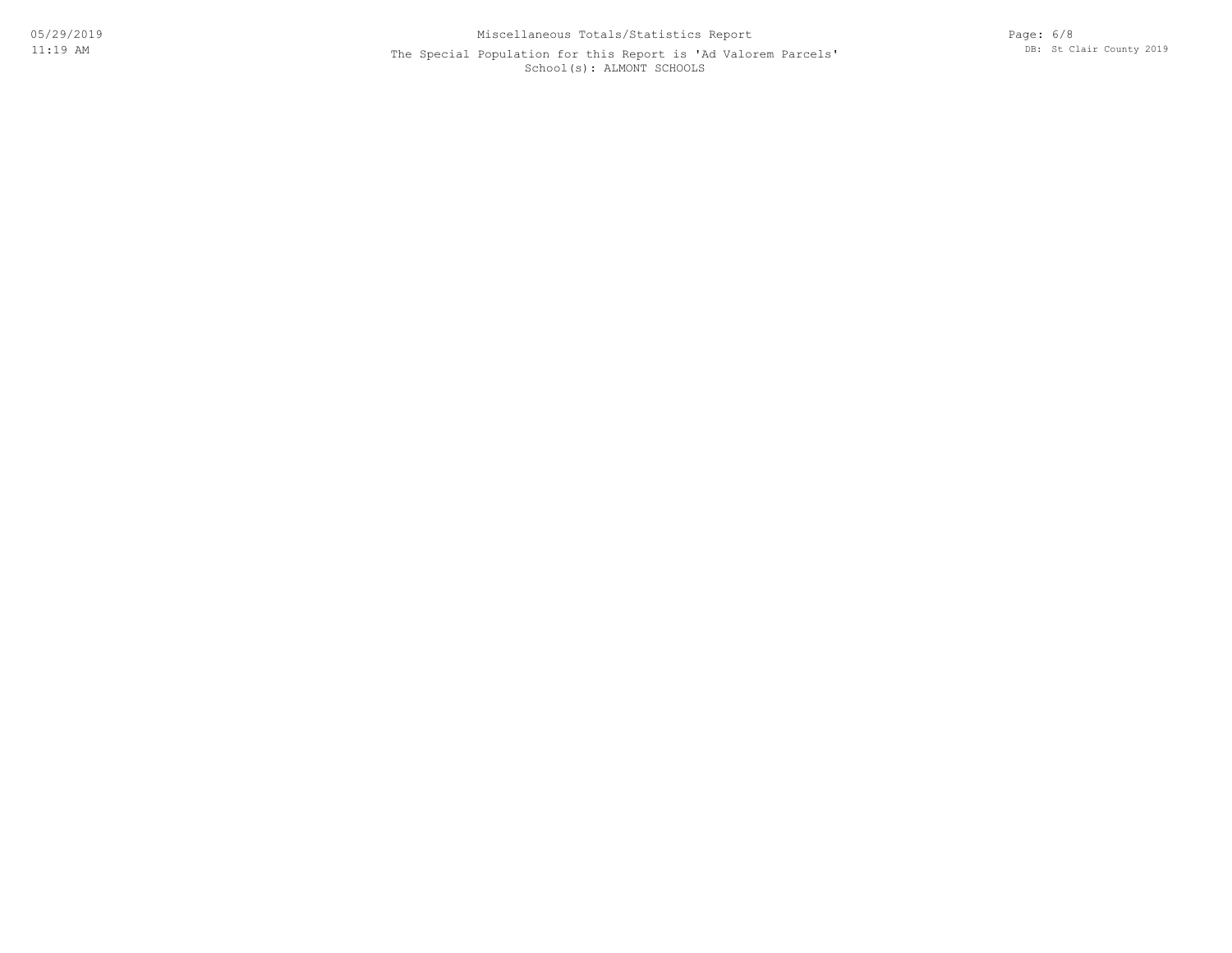School(s): ALMONT SCHOOLS The Special Population for this Report is 'Ad Valorem Parcels'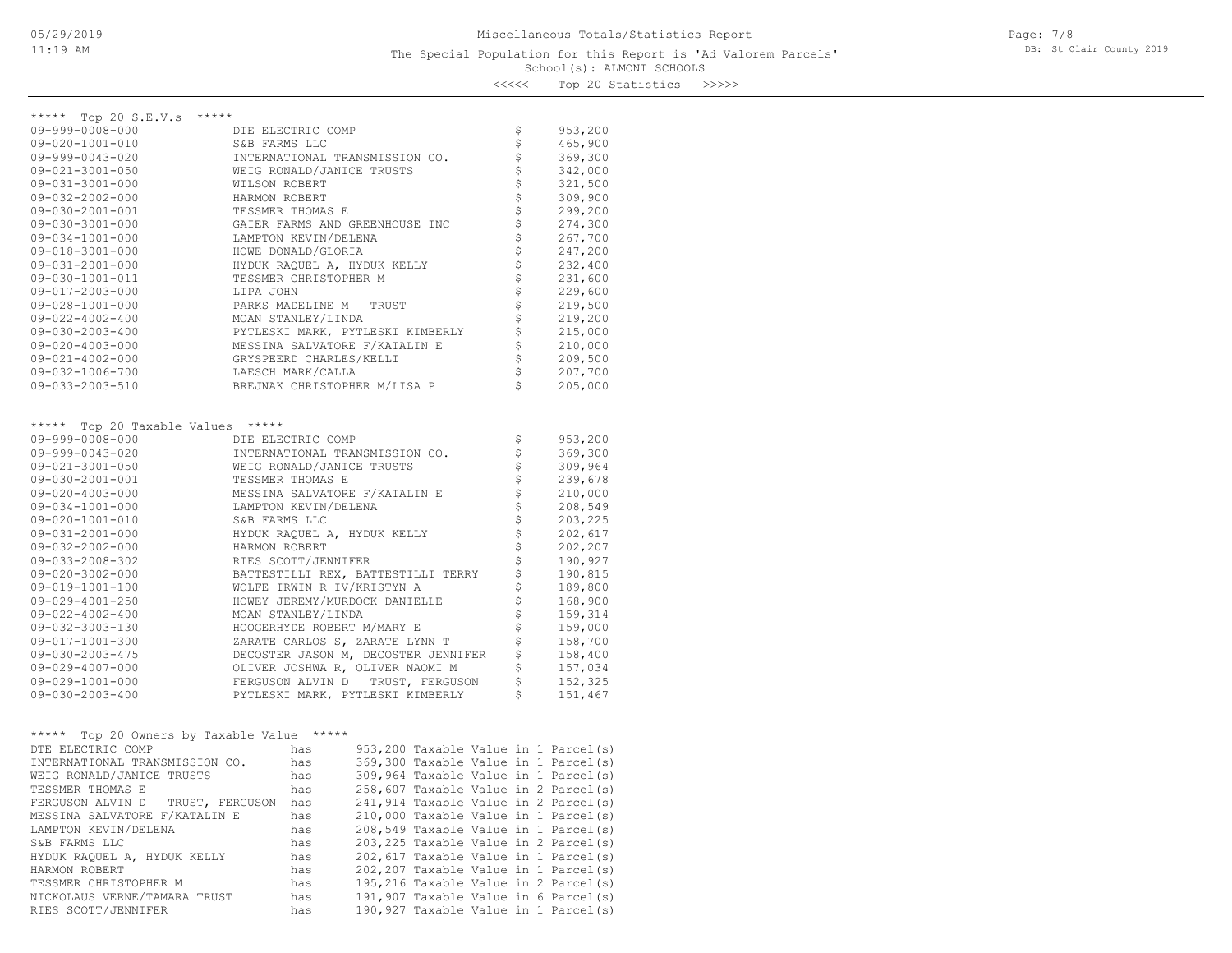### School(s): ALMONT SCHOOLS The Special Population for this Report is 'Ad Valorem Parcels'

Page: 7/8 DB: St Clair County 2019

<<<<< Top 20 Statistics >>>>>

| $******$<br>*****<br>Top 20 $S.E.V.S$         |                                     |       |                 |  |                   |                                      |
|-----------------------------------------------|-------------------------------------|-------|-----------------|--|-------------------|--------------------------------------|
| $09 - 999 - 0008 - 000$                       | DTE ELECTRIC COMP                   |       |                 |  | \$                | 953,200                              |
| 09-020-1001-010                               | S&B FARMS LLC                       |       |                 |  | \$                | 465,900                              |
| 09-999-0043-020                               | INTERNATIONAL TRANSMISSION CO.      |       |                 |  | \$                | 369,300                              |
| $09 - 021 - 3001 - 050$                       | WEIG RONALD/JANICE TRUSTS           |       |                 |  | \$                | 342,000                              |
| 09-031-3001-000                               | WILSON ROBERT                       |       |                 |  | \$                | 321,500                              |
| $09 - 032 - 2002 - 000$                       | HARMON ROBERT                       |       |                 |  | \$                | 309,900                              |
| $09 - 030 - 2001 - 001$                       | TESSMER THOMAS E                    |       |                 |  | \$                | 299,200                              |
| $09 - 030 - 3001 - 000$                       | GAIER FARMS AND GREENHOUSE INC      |       |                 |  | \$                | 274,300                              |
| $09 - 034 - 1001 - 000$                       | LAMPTON KEVIN/DELENA                |       |                 |  | \$                | 267,700                              |
| $09 - 018 - 3001 - 000$                       | HOWE DONALD/GLORIA                  |       |                 |  | \$                | 247,200                              |
| $09 - 031 - 2001 - 000$                       | HYDUK RAQUEL A, HYDUK KELLY         |       |                 |  | $\hat{\varsigma}$ | 232,400                              |
| 09-030-1001-011                               | TESSMER CHRISTOPHER M               |       |                 |  | \$                | 231,600                              |
| 09-017-2003-000                               | LIPA JOHN                           |       |                 |  | なみ                | 229,600                              |
| $09 - 028 - 1001 - 000$                       | PARKS MADELINE M                    | TRUST |                 |  |                   | 219,500                              |
| $09 - 022 - 4002 - 400$                       | MOAN STANLEY/LINDA                  |       |                 |  |                   | 219,200                              |
| $09 - 030 - 2003 - 400$                       | PYTLESKI MARK, PYTLESKI KIMBERLY    |       |                 |  | \$                | 215,000                              |
| $09 - 020 - 4003 - 000$                       | MESSINA SALVATORE F/KATALIN E       |       |                 |  | \$                | 210,000                              |
| $09 - 021 - 4002 - 000$                       | GRYSPEERD CHARLES/KELLI             |       |                 |  | \$                | 209,500                              |
| 09-032-1006-700                               | LAESCH MARK/CALLA                   |       |                 |  | \$                | 207,700                              |
| 09-033-2003-510                               | BREJNAK CHRISTOPHER M/LISA P        |       |                 |  | \$                | 205,000                              |
|                                               |                                     |       |                 |  |                   |                                      |
|                                               |                                     |       |                 |  |                   |                                      |
| Top 20 Taxable Values *****<br>*****          |                                     |       |                 |  |                   |                                      |
| 09-999-0008-000                               | DTE ELECTRIC COMP                   |       |                 |  | \$                | 953,200                              |
| 09-999-0043-020                               | INTERNATIONAL TRANSMISSION CO.      |       |                 |  | \$                | 369,300                              |
| 09-021-3001-050                               | WEIG RONALD/JANICE TRUSTS           |       |                 |  | \$                | 309,964                              |
| 09-030-2001-001                               | TESSMER THOMAS E                    |       |                 |  | \$                | 239,678                              |
| $09 - 020 - 4003 - 000$                       | MESSINA SALVATORE F/KATALIN E       |       |                 |  |                   | 210,000                              |
| $09 - 034 - 1001 - 000$                       | LAMPTON KEVIN/DELENA                |       |                 |  | \$                | 208,549                              |
| 09-020-1001-010                               | S&B FARMS LLC                       |       |                 |  |                   | 203,225                              |
| 09-031-2001-000                               | HYDUK RAQUEL A, HYDUK KELLY         |       |                 |  | \$                | 202,617                              |
| $09 - 032 - 2002 - 000$                       | HARMON ROBERT                       |       |                 |  | \$                | 202,207                              |
| 09-033-2008-302                               | RIES SCOTT/JENNIFER                 |       |                 |  | \$                | 190,927                              |
| $09 - 020 - 3002 - 000$                       | BATTESTILLI REX, BATTESTILLI TERRY  |       |                 |  | \$                | 190,815                              |
| 09-019-1001-100                               | WOLFE IRWIN R IV/KRISTYN A          |       |                 |  | \$                | 189,800                              |
| $09 - 029 - 4001 - 250$                       |                                     |       |                 |  | \$                | 168,900                              |
|                                               | HOWEY JEREMY/MURDOCK DANIELLE       |       |                 |  | \$                |                                      |
| $09 - 022 - 4002 - 400$                       | MOAN STANLEY/LINDA                  |       |                 |  |                   | 159,314                              |
| 09-032-3003-130                               | HOOGERHYDE ROBERT M/MARY E          |       |                 |  | \$                | 159,000                              |
| 09-017-1001-300                               | ZARATE CARLOS S, ZARATE LYNN T      |       |                 |  | \$                | 158,700                              |
| $09 - 030 - 2003 - 475$                       | DECOSTER JASON M, DECOSTER JENNIFER |       |                 |  | \$                | 158,400                              |
| $09 - 029 - 4007 - 000$                       | OLIVER JOSHWA R, OLIVER NAOMI M     |       | TRUST, FERGUSON |  | \$                | 157,034                              |
| 09-029-1001-000                               | FERGUSON ALVIN D                    | \$    | 152,325         |  |                   |                                      |
| $09 - 030 - 2003 - 400$                       | PYTLESKI MARK, PYTLESKI KIMBERLY    |       |                 |  | \$                | 151,467                              |
|                                               |                                     |       |                 |  |                   |                                      |
| Top 20 Owners by Taxable Value *****<br>***** |                                     |       |                 |  |                   |                                      |
| DTE ELECTRIC COMP                             | has                                 |       |                 |  |                   | 953,200 Taxable Value in 1 Parcel(s) |
| INTERNATIONAL TRANSMISSION CO.                | has                                 |       |                 |  |                   | 369,300 Taxable Value in 1 Parcel(s) |
| WEIG RONALD/JANICE TRUSTS                     | has                                 |       |                 |  |                   | 309,964 Taxable Value in 1 Parcel(s) |
| TESSMER THOMAS E                              | has                                 |       |                 |  |                   | 258,607 Taxable Value in 2 Parcel(s) |
| FERGUSON ALVIN D                              | TRUST, FERGUSON has                 |       |                 |  |                   | 241,914 Taxable Value in 2 Parcel(s) |
| MESSINA SALVATORE F/KATALIN E                 | has                                 |       |                 |  |                   | 210,000 Taxable Value in 1 Parcel(s) |
|                                               |                                     |       |                 |  |                   |                                      |

RIES SCOTT/JENNIFER has 190,927 Taxable Value in 1 Parcel(s) NICKOLAUS VERNE/TAMARA TRUST has 191,907 Taxable Value in 6 Parcel(s) TESSMER CHRISTOPHER M has 195,216 Taxable Value in 2 Parcel(s) HARMON ROBERT has 202,207 Taxable Value in 1 Parcel(s) HYDUK RAQUEL A, HYDUK KELLY has 202,617 Taxable Value in 1 Parcel(s) S&B FARMS LLC has 203,225 Taxable Value in 2 Parcel(s) LAMPTON KEVIN/DELENA has 208,549 Taxable Value in 1 Parcel(s)